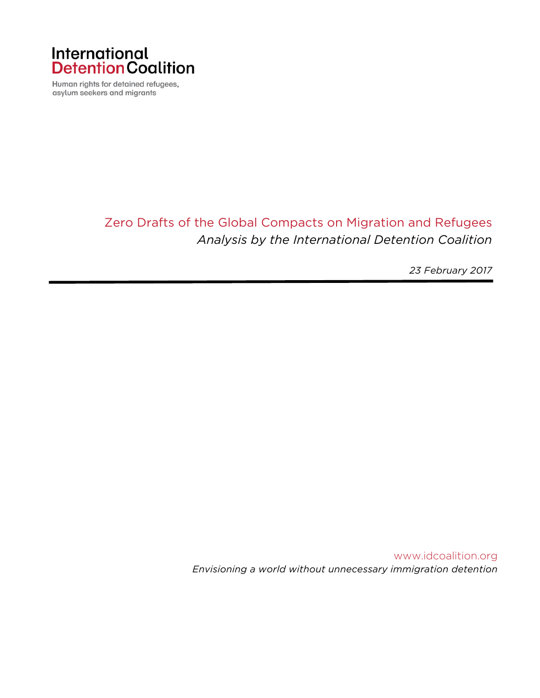

Human rights for detained refugees, asylum seekers and migrants

# Zero Drafts of the Global Compacts on Migration and Refugees *Analysis by the International Detention Coalition*

*23 February 2017*

www.idcoalition.org *Envisioning a world without unnecessary immigration detention*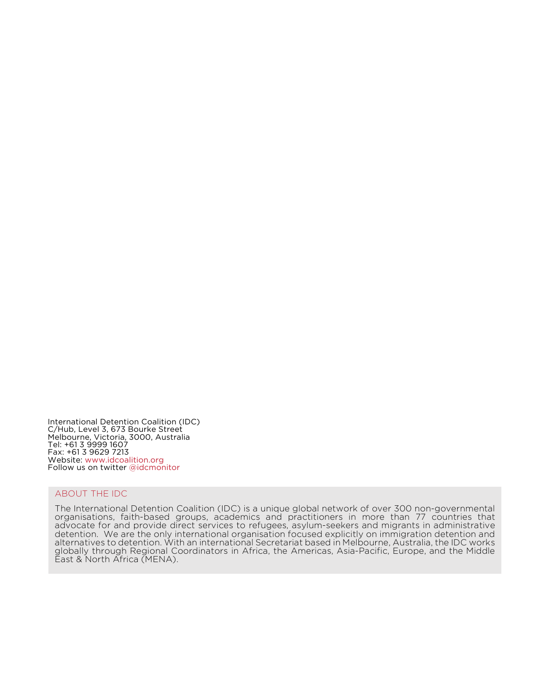International Detention Coalition (IDC) C/Hub, Level 3, 673 Bourke Street Melbourne, Victoria, 3000, Australia Tel: +61 3 9999 1607 Fax: +61 3 9629 7213 Website: www.idcoalition.org Follow us on twitter @idcmonitor

#### ABOUT THE IDC

The International Detention Coalition (IDC) is a unique global network of over 300 non-governmental organisations, faith-based groups, academics and practitioners in more than 77 countries that advocate for and provide direct services to refugees, asylum-seekers and migrants in administrative detention. We are the only international organisation focused explicitly on immigration detention and alternatives to detention. With an international Secretariat based in Melbourne, Australia, the IDC works globally through Regional Coordinators in Africa, the Americas, Asia-Pacific, Europe, and the Middle East & North Africa (MENA).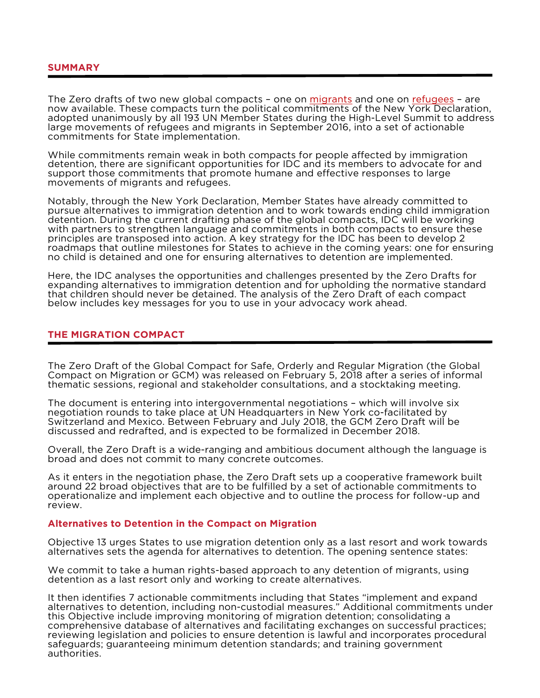#### **SUMMARY**

The Zero drafts of two new global compacts – one on migrants and one on refugees – are now available. These compacts turn the political commitments of the New York Declaration, adopted unanimously by all 193 UN Member States during the High-Level Summit to address large movements of refugees and migrants in September 2016, into a set of actionable commitments for State implementation.

While commitments remain weak in both compacts for people affected by immigration detention, there are significant opportunities for IDC and its members to advocate for and support those commitments that promote humane and effective responses to large movements of migrants and refugees.

Notably, through the New York Declaration, Member States have already committed to pursue alternatives to immigration detention and to work towards ending child immigration detention. During the current drafting phase of the global compacts, IDC will be working with partners to strengthen language and commitments in both compacts to ensure these principles are transposed into action. A key strategy for the IDC has been to develop 2 roadmaps that outline milestones for States to achieve in the coming years: one for ensuring no child is detained and one for ensuring alternatives to detention are implemented.

Here, the IDC analyses the opportunities and challenges presented by the Zero Drafts for expanding alternatives to immigration detention and for upholding the normative standard that children should never be detained. The analysis of the Zero Draft of each compact below includes key messages for you to use in your advocacy work ahead.

### **THE MIGRATION COMPACT**

The Zero Draft of the Global Compact for Safe, Orderly and Regular Migration (the Global Compact on Migration or GCM) was released on February 5, 2018 after a series of informal thematic sessions, regional and stakeholder consultations, and a stocktaking meeting.

The document is entering into intergovernmental negotiations – which will involve six negotiation rounds to take place at UN Headquarters in New York co-facilitated by Switzerland and Mexico. Between February and July 2018, the GCM Zero Draft will be discussed and redrafted, and is expected to be formalized in December 2018.

Overall, the Zero Draft is a wide-ranging and ambitious document although the language is broad and does not commit to many concrete outcomes.

As it enters in the negotiation phase, the Zero Draft sets up a cooperative framework built around 22 broad objectives that are to be fulfilled by a set of actionable commitments to operationalize and implement each objective and to outline the process for follow-up and review.

#### **Alternatives to Detention in the Compact on Migration**

Objective 13 urges States to use migration detention only as a last resort and work towards alternatives sets the agenda for alternatives to detention. The opening sentence states:

We commit to take a human rights-based approach to any detention of migrants, using detention as a last resort only and working to create alternatives.

It then identifies 7 actionable commitments including that States "implement and expand alternatives to detention, including non-custodial measures." Additional commitments under this Objective include improving monitoring of migration detention; consolidating a comprehensive database of alternatives and facilitating exchanges on successful practices; reviewing legislation and policies to ensure detention is lawful and incorporates procedural safeguards; guaranteeing minimum detention standards; and training government authorities.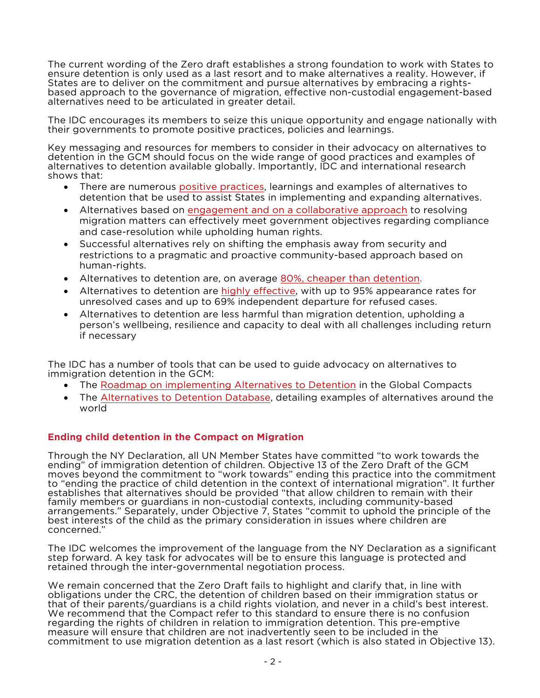The current wording of the Zero draft establishes a strong foundation to work with States to ensure detention is only used as a last resort and to make alternatives a reality. However, if<br>States are to deliver on the commitment and pursue alternatives by embracing a rightsbased approach to the governance of migration, effective non-custodial engagement-based alternatives need to be articulated in greater detail.

The IDC encourages its members to seize this unique opportunity and engage nationally with their governments to promote positive practices, policies and learnings.

Key messaging and resources for members to consider in their advocacy on alternatives to detention in the GCM should focus on the wide range of good practices and examples of alternatives to detention available globally. Importantly, IDC and international research shows that:

- There are numerous positive practices, learnings and examples of alternatives to detention that be used to assist States in implementing and expanding alternatives.
- Alternatives based on engagement and on a collaborative approach to resolving migration matters can effectively meet government objectives regarding compliance and case-resolution while upholding human rights.
- Successful alternatives rely on shifting the emphasis away from security and restrictions to a pragmatic and proactive community-based approach based on human-rights.
- Alternatives to detention are, on average 80%, cheaper than detention.
- Alternatives to detention are highly effective, with up to 95% appearance rates for unresolved cases and up to 69% independent departure for refused cases.
- Alternatives to detention are less harmful than migration detention, upholding a person's wellbeing, resilience and capacity to deal with all challenges including return if necessary

The IDC has a number of tools that can be used to guide advocacy on alternatives to immigration detention in the GCM:

- The Roadmap on implementing Alternatives to Detention in the Global Compacts
- The Alternatives to Detention Database, detailing examples of alternatives around the world

# **Ending child detention in the Compact on Migration**

Through the NY Declaration, all UN Member States have committed "to work towards the ending" of immigration detention of children. Objective 13 of the Zero Draft of the GCM moves beyond the commitment to "work towards" ending this practice into the commitment to "ending the practice of child detention in the context of international migration". It further establishes that alternatives should be provided "that allow children to remain with their family members or guardians in non-custodial contexts, including community-based arrangements." Separately, under Objective 7, States "commit to uphold the principle of the best interests of the child as the primary consideration in issues where children are concerned."

The IDC welcomes the improvement of the language from the NY Declaration as a significant step forward. A key task for advocates will be to ensure this language is protected and retained through the inter-governmental negotiation process.

We remain concerned that the Zero Draft fails to highlight and clarify that, in line with obligations under the CRC, the detention of children based on their immigration status or that of their parents/guardians is a child rights violation, and never in a child's best interest. We recommend that the Compact refer to this standard to ensure there is no confusion regarding the rights of children in relation to immigration detention. This pre-emptive measure will ensure that children are not inadvertently seen to be included in the commitment to use migration detention as a last resort (which is also stated in Objective 13).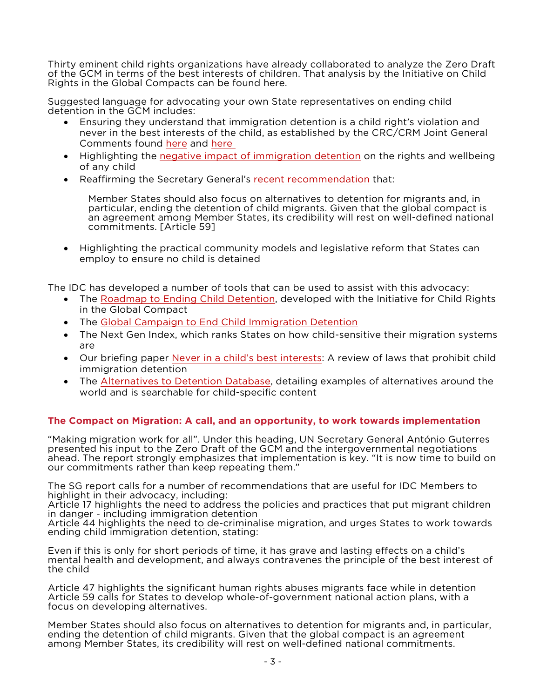Thirty eminent child rights organizations have already collaborated to analyze the Zero Draft of the GCM in terms of the best interests of children. That analysis by the Initiative on Child Rights in the Global Compacts can be found here.

Suggested language for advocating your own State representatives on ending child detention in the GCM includes:

- Ensuring they understand that immigration detention is a child right's violation and never in the best interests of the child, as established by the CRC/CRM Joint General Comments found here and here
- Highlighting the negative impact of immigration detention on the rights and wellbeing of any child
- Reaffirming the Secretary General's recent recommendation that:

Member States should also focus on alternatives to detention for migrants and, in particular, ending the detention of child migrants. Given that the global compact is an agreement among Member States, its credibility will rest on well-defined national commitments. [Article 59]

• Highlighting the practical community models and legislative reform that States can employ to ensure no child is detained

The IDC has developed a number of tools that can be used to assist with this advocacy:

- The Roadmap to Ending Child Detention, developed with the Initiative for Child Rights in the Global Compact
- The Global Campaign to End Child Immigration Detention
- The Next Gen Index, which ranks States on how child-sensitive their migration systems are
- Our briefing paper Never in a child's best interests: A review of laws that prohibit child immigration detention
- The Alternatives to Detention Database, detailing examples of alternatives around the world and is searchable for child-specific content

# **The Compact on Migration: A call, and an opportunity, to work towards implementation**

"Making migration work for all". Under this heading, UN Secretary General António Guterres presented his input to the Zero Draft of the GCM and the intergovernmental negotiations ahead. The report strongly emphasizes that implementation is key. "It is now time to build on our commitments rather than keep repeating them."

The SG report calls for a number of recommendations that are useful for IDC Members to highlight in their advocacy, including:

Article 17 highlights the need to address the policies and practices that put migrant children in danger - including immigration detention

Article 44 highlights the need to de-criminalise migration, and urges States to work towards ending child immigration detention, stating:

Even if this is only for short periods of time, it has grave and lasting effects on a child's mental health and development, and always contravenes the principle of the best interest of the child

Article 47 highlights the significant human rights abuses migrants face while in detention Article 59 calls for States to develop whole-of-government national action plans, with a focus on developing alternatives.

Member States should also focus on alternatives to detention for migrants and, in particular, ending the detention of child migrants. Given that the global compact is an agreement among Member States, its credibility will rest on well-defined national commitments.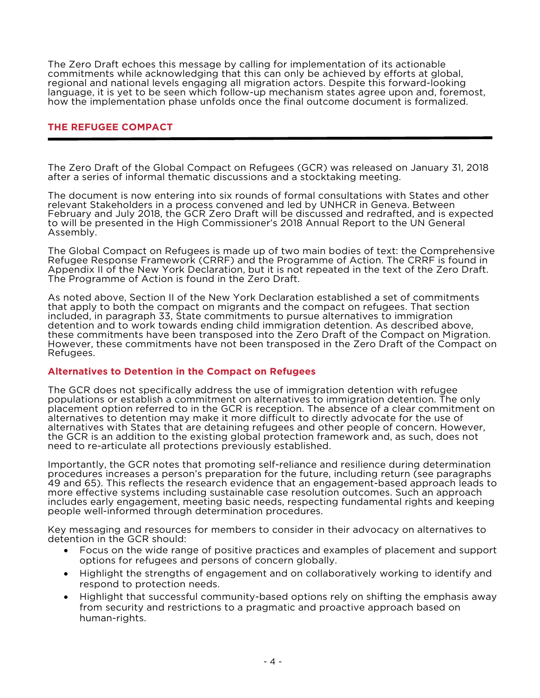The Zero Draft echoes this message by calling for implementation of its actionable commitments while acknowledging that this can only be achieved by efforts at global, regional and national levels engaging all migration actors. Despite this forward-looking language, it is yet to be seen which follow-up mechanism states agree upon and, foremost, how the implementation phase unfolds once the final outcome document is formalized.

### **THE REFUGEE COMPACT**

The Zero Draft of the Global Compact on Refugees (GCR) was released on January 31, 2018 after a series of informal thematic discussions and a stocktaking meeting.

The document is now entering into six rounds of formal consultations with States and other relevant Stakeholders in a process convened and led by UNHCR in Geneva. Between February and July 2018, the GCR Zero Draft will be discussed and redrafted, and is expected to will be presented in the High Commissioner's 2018 Annual Report to the UN General Assembly.

The Global Compact on Refugees is made up of two main bodies of text: the Comprehensive Refugee Response Framework (CRRF) and the Programme of Action. The CRRF is found in Appendix II of the New York Declaration, but it is not repeated in the text of the Zero Draft. The Programme of Action is found in the Zero Draft.

As noted above, Section II of the New York Declaration established a set of commitments that apply to both the compact on migrants and the compact on refugees. That section included, in paragraph 33, State commitments to pursue alternatives to immigration detention and to work towards ending child immigration detention. As described above, these commitments have been transposed into the Zero Draft of the Compact on Migration. However, these commitments have not been transposed in the Zero Draft of the Compact on Refugees.

# **Alternatives to Detention in the Compact on Refugees**

The GCR does not specifically address the use of immigration detention with refugee populations or establish a commitment on alternatives to immigration detention. The only placement option referred to in the GCR is reception. The absence of a clear commitment on alternatives to detention may make it more difficult to directly advocate for the use of alternatives with States that are detaining refugees and other people of concern. However, the GCR is an addition to the existing global protection framework and, as such, does not need to re-articulate all protections previously established.

Importantly, the GCR notes that promoting self-reliance and resilience during determination procedures increases a person's preparation for the future, including return (see paragraphs 49 and 65). This reflects the research evidence that an engagement-based approach leads to more effective systems including sustainable case resolution outcomes. Such an approach includes early engagement, meeting basic needs, respecting fundamental rights and keeping people well-informed through determination procedures.

Key messaging and resources for members to consider in their advocacy on alternatives to detention in the GCR should:

- Focus on the wide range of positive practices and examples of placement and support options for refugees and persons of concern globally.
- Highlight the strengths of engagement and on collaboratively working to identify and respond to protection needs.
- Highlight that successful community-based options rely on shifting the emphasis away from security and restrictions to a pragmatic and proactive approach based on human-rights.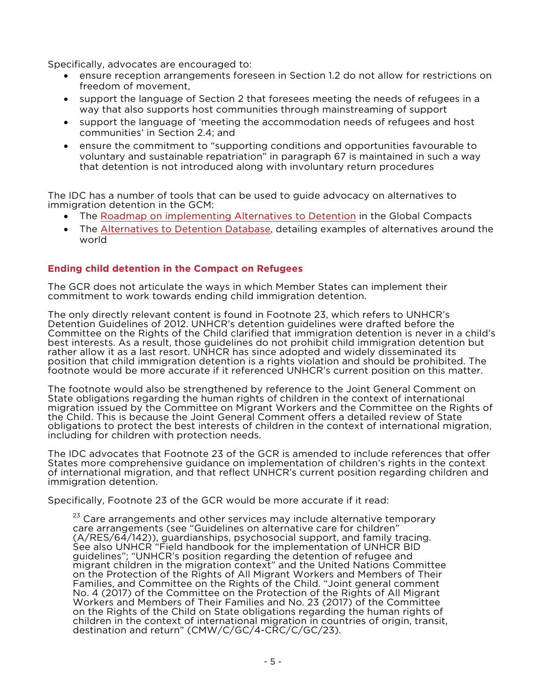Specifically, advocates are encouraged to:

- ensure reception arrangements foreseen in Section 1.2 do not allow for restrictions on freedom of movement,
- support the language of Section 2 that foresees meeting the needs of refugees in a way that also supports host communities through mainstreaming of support
- support the language of 'meeting the accommodation needs of refugees and host communities' in Section 2.4; and
- ensure the commitment to "supporting conditions and opportunities favourable to voluntary and sustainable repatriation" in paragraph 67 is maintained in such a way that detention is not introduced along with involuntary return procedures

The IDC has a number of tools that can be used to guide advocacy on alternatives to immigration detention in the GCM:

- The Roadmap on implementing Alternatives to Detention in the Global Compacts
- The Alternatives to Detention Database, detailing examples of alternatives around the world

# **Ending child detention in the Compact on Refugees**

The GCR does not articulate the ways in which Member States can implement their commitment to work towards ending child immigration detention.

The only directly relevant content is found in Footnote 23, which refers to UNHCR's Detention Guidelines of 2012. UNHCR's detention guidelines were drafted before the Committee on the Rights of the Child clarified that immigration detention is never in a child's best interests. As a result, those guidelines do not prohibit child immigration detention but rather allow it as a last resort. UNHCR has since adopted and widely disseminated its position that child immigration detention is a rights violation and should be prohibited. The footnote would be more accurate if it referenced UNHCR's current position on this matter.

The footnote would also be strengthened by reference to the Joint General Comment on State obligations regarding the human rights of children in the context of international migration issued by the Committee on Migrant Workers and the Committee on the Rights of the Child. This is because the Joint General Comment offers a detailed review of State obligations to protect the best interests of children in the context of international migration, including for children with protection needs.

The IDC advocates that Footnote 23 of the GCR is amended to include references that offer States more comprehensive guidance on implementation of children's rights in the context of international migration, and that reflect UNHCR's current position regarding children and immigration detention.

Specifically, Footnote 23 of the GCR would be more accurate if it read:

<sup>23</sup> Care arrangements and other services may include alternative temporary care arrangements (see "Guidelines on alternative care for children" (A/RES/64/142)), guardianships, psychosocial support, and family tracing. See also UNHCR "Field handbook for the implementation of UNHCR BID guidelines"; "UNHCR's position regarding the detention of refugee and migrant children in the migration context" and the United Nations Committee on the Protection of the Rights of All Migrant Workers and Members of Their Families, and Committee on the Rights of the Child. "Joint general comment No. 4 (2017) of the Committee on the Protection of the Rights of All Migrant Workers and Members of Their Families and No. 23 (2017) of the Committee on the Rights of the Child on State obligations regarding the human rights of children in the context of international migration in countries of origin, transit, destination and return" (CMW/C/GC/4-CRC/C/GC/23).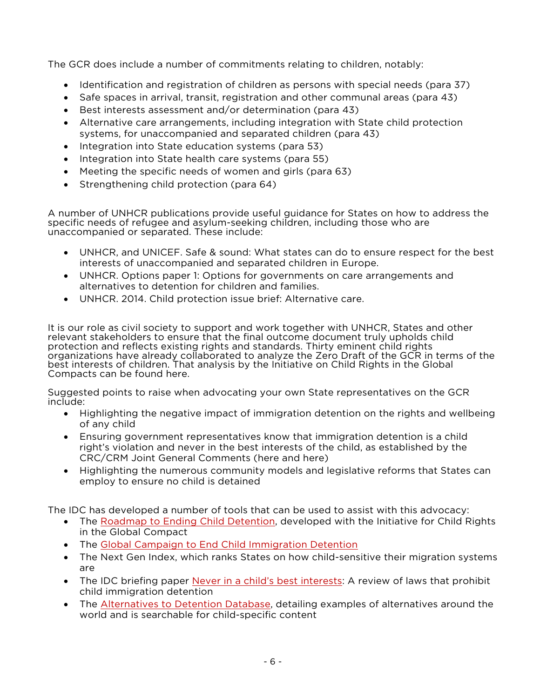The GCR does include a number of commitments relating to children, notably:

- Identification and registration of children as persons with special needs (para 37)
- Safe spaces in arrival, transit, registration and other communal areas (para 43)
- Best interests assessment and/or determination (para 43)
- Alternative care arrangements, including integration with State child protection systems, for unaccompanied and separated children (para 43)
- Integration into State education systems (para 53)
- Integration into State health care systems (para 55)
- Meeting the specific needs of women and girls (para 63)
- Strengthening child protection (para 64)

A number of UNHCR publications provide useful guidance for States on how to address the specific needs of refugee and asylum-seeking children, including those who are unaccompanied or separated. These include:

- UNHCR, and UNICEF. Safe & sound: What states can do to ensure respect for the best interests of unaccompanied and separated children in Europe.
- UNHCR. Options paper 1: Options for governments on care arrangements and alternatives to detention for children and families.
- UNHCR. 2014. Child protection issue brief: Alternative care.

It is our role as civil society to support and work together with UNHCR, States and other relevant stakeholders to ensure that the final outcome document truly upholds child protection and reflects existing rights and standards. Thirty eminent child rights organizations have already collaborated to analyze the Zero Draft of the GCR in terms of the best interests of children. That analysis by the Initiative on Child Rights in the Global Compacts can be found here.

Suggested points to raise when advocating your own State representatives on the GCR include:

- Highlighting the negative impact of immigration detention on the rights and wellbeing of any child
- Ensuring government representatives know that immigration detention is a child right's violation and never in the best interests of the child, as established by the CRC/CRM Joint General Comments (here and here)
- Highlighting the numerous community models and legislative reforms that States can employ to ensure no child is detained

The IDC has developed a number of tools that can be used to assist with this advocacy:

- The Roadmap to Ending Child Detention, developed with the Initiative for Child Rights in the Global Compact
- The Global Campaign to End Child Immigration Detention
- The Next Gen Index, which ranks States on how child-sensitive their migration systems are
- The IDC briefing paper Never in a child's best interests: A review of laws that prohibit child immigration detention
- The Alternatives to Detention Database, detailing examples of alternatives around the world and is searchable for child-specific content